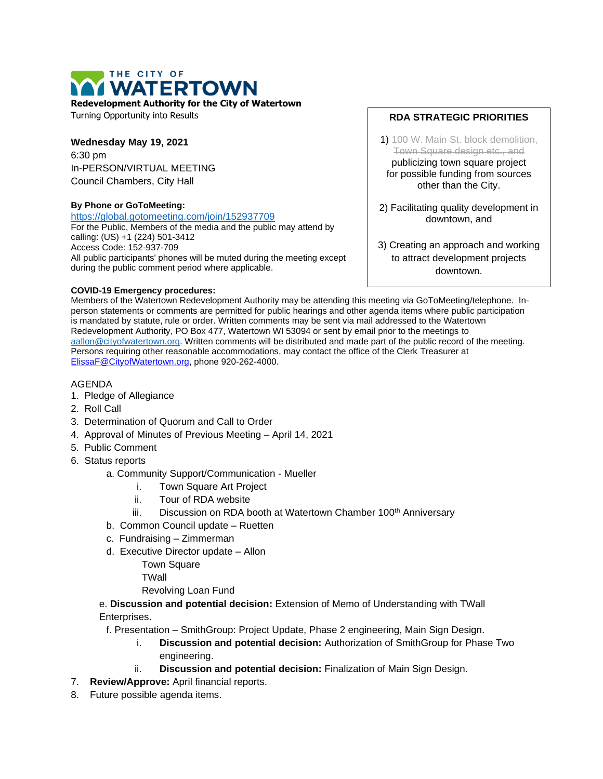

**Redevelopment Authority for the City of Watertown**

Turning Opportunity into Results

## **Wednesday May 19, 2021**

6:30 pm In-PERSON/VIRTUAL MEETING Council Chambers, City Hall

## **By Phone or GoToMeeting:**

<https://global.gotomeeting.com/join/152937709>

For the Public, Members of the media and the public may attend by calling: (US) +1 (224) 501-3412 Access Code: 152-937-709 All public participants' phones will be muted during the meeting except during the public comment period where applicable.

## **COVID-19 Emergency procedures:**

**RDA STRATEGIC PRIORITIES**

1) 100 W. Main St. block demolition, Town Square design etc., and publicizing town square project for possible funding from sources other than the City.

2) Facilitating quality development in downtown, and

3) Creating an approach and working to attract development projects downtown.

Members of the Watertown Redevelopment Authority may be attending this meeting via GoToMeeting/telephone. Inperson statements or comments are permitted for public hearings and other agenda items where public participation is mandated by statute, rule or order. Written comments may be sent via mail addressed to the Watertown Redevelopment Authority, PO Box 477, Watertown WI 53094 or sent by email prior to the meetings to [aallon@cityofwatertown.org.](mailto:aallon@cityofwatertown.org) Written comments will be distributed and made part of the public record of the meeting. Persons requiring other reasonable accommodations, may contact the office of the Clerk Treasurer at [ElissaF@CityofWatertown.org,](mailto:ElissaF@CityofWatertown.org) phone 920-262-4000.

## AGENDA

- 1. Pledge of Allegiance
- 2. Roll Call
- 3. Determination of Quorum and Call to Order
- 4. Approval of Minutes of Previous Meeting April 14, 2021
- 5. Public Comment
- 6. Status reports

a. Community Support/Communication - Mueller

- i. Town Square Art Project
- ii. Tour of RDA website
- iii. Discussion on RDA booth at Watertown Chamber 100<sup>th</sup> Anniversary
- b. Common Council update Ruetten
- c. Fundraising Zimmerman
- d. Executive Director update Allon

Town Square

**TWall** 

Revolving Loan Fund

e. **Discussion and potential decision:** Extension of Memo of Understanding with TWall Enterprises.

f. Presentation – SmithGroup: Project Update, Phase 2 engineering, Main Sign Design.

- i. **Discussion and potential decision:** Authorization of SmithGroup for Phase Two engineering.
- ii. **Discussion and potential decision:** Finalization of Main Sign Design.
- 7. **Review/Approve:** April financial reports.
- 8. Future possible agenda items.